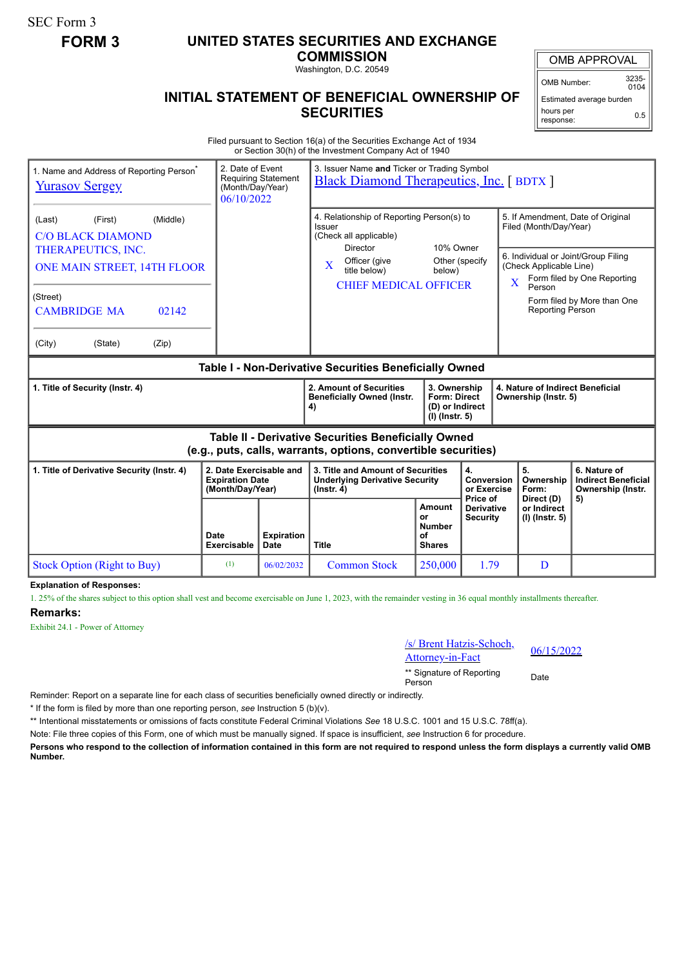SEC Form 3

## **FORM 3 UNITED STATES SECURITIES AND EXCHANGE**

**COMMISSION** Washington, D.C. 20549

OMB APPROVAL

OMB Number: 3235-  $0104$ 

## **INITIAL STATEMENT OF BENEFICIAL OWNERSHIP OF SECURITIES**

Estimated average burden hours per response: 0.5

Filed pursuant to Section 16(a) of the Securities Exchange Act of 1934 or Section 30(h) of the Investment Company Act of 1940

| 2. Date of Event<br>1. Name and Address of Reporting Person <sup>®</sup><br><b>Yurasov Sergey</b><br>06/10/2022       |                     | <b>Requiring Statement</b><br>(Month/Day/Year)                                                         | 3. Issuer Name and Ticker or Trading Symbol<br><b>Black Diamond Therapeutics, Inc.</b> [BDTX ] |                                                                            |                                                             |                                                                                                                                    |                             |  |
|-----------------------------------------------------------------------------------------------------------------------|---------------------|--------------------------------------------------------------------------------------------------------|------------------------------------------------------------------------------------------------|----------------------------------------------------------------------------|-------------------------------------------------------------|------------------------------------------------------------------------------------------------------------------------------------|-----------------------------|--|
| (First)<br>(Middle)<br>(Last)<br><b>C/O BLACK DIAMOND</b><br>THERAPEUTICS, INC.<br>ONE MAIN STREET, 14TH FLOOR        |                     | 4. Relationship of Reporting Person(s) to<br>Issuer<br>(Check all applicable)<br>10% Owner<br>Director |                                                                                                |                                                                            | 5. If Amendment, Date of Original<br>Filed (Month/Day/Year) |                                                                                                                                    |                             |  |
|                                                                                                                       |                     |                                                                                                        | Officer (give<br>X<br>title below)<br><b>CHIEF MEDICAL OFFICER</b>                             | below)                                                                     | Other (specify                                              | 6. Individual or Joint/Group Filing<br>(Check Applicable Line)<br>Form filed by One Reporting<br>$\overline{\mathbf{X}}$<br>Person |                             |  |
| (Street)<br><b>CAMBRIDGE MA</b><br>02142                                                                              |                     |                                                                                                        |                                                                                                |                                                                            |                                                             | <b>Reporting Person</b>                                                                                                            | Form filed by More than One |  |
| (City)<br>(Zip)<br>(State)                                                                                            |                     |                                                                                                        |                                                                                                |                                                                            |                                                             |                                                                                                                                    |                             |  |
| Table I - Non-Derivative Securities Beneficially Owned                                                                |                     |                                                                                                        |                                                                                                |                                                                            |                                                             |                                                                                                                                    |                             |  |
| 1. Title of Security (Instr. 4)                                                                                       |                     |                                                                                                        | 2. Amount of Securities<br><b>Beneficially Owned (Instr.</b><br>4)                             | 3. Ownership<br><b>Form: Direct</b><br>(D) or Indirect<br>$(I)$ (lnstr. 5) |                                                             | 4. Nature of Indirect Beneficial<br>Ownership (Instr. 5)                                                                           |                             |  |
| Table II - Derivative Securities Beneficially Owned<br>(e.g., puts, calls, warrants, options, convertible securities) |                     |                                                                                                        |                                                                                                |                                                                            |                                                             |                                                                                                                                    |                             |  |
| 2. Date Exercisable and<br>1. Title of Derivative Security (Instr. 4)<br><b>Expiration Date</b><br>(Month/Day/Year)   |                     | 3. Title and Amount of Securities<br><b>Underlying Derivative Security</b><br>$($ lnstr. 4 $)$         |                                                                                                | 4.<br><b>Conversion</b><br>or Exercise<br>Price of                         | 5.<br>Ownership<br>Form:                                    | 6. Nature of<br><b>Indirect Beneficial</b><br>Ownership (Instr.                                                                    |                             |  |
|                                                                                                                       | Date<br>Exercisable | <b>Expiration</b><br><b>Date</b>                                                                       | <b>Title</b>                                                                                   | <b>Amount</b><br>or<br><b>Number</b><br>Ωf<br><b>Shares</b>                | <b>Derivative</b><br><b>Security</b>                        | Direct (D)<br>or Indirect<br>(I) (Instr. 5)                                                                                        | 5)                          |  |
| <b>Stock Option (Right to Buy)</b>                                                                                    | (1)                 | 06/02/2032                                                                                             | <b>Common Stock</b>                                                                            | 250,000                                                                    | 1.79                                                        | D                                                                                                                                  |                             |  |

**Explanation of Responses:**

1. 25% of the shares subject to this option shall vest and become exercisable on June 1, 2023, with the remainder vesting in 36 equal monthly installments thereafter.

## **Remarks:**

Exhibit 24.1 - Power of Attorney



\*\* Signature of Reporting <sub>Date</sub><br>Person

Reminder: Report on a separate line for each class of securities beneficially owned directly or indirectly.

\* If the form is filed by more than one reporting person, *see* Instruction 5 (b)(v).

\*\* Intentional misstatements or omissions of facts constitute Federal Criminal Violations *See* 18 U.S.C. 1001 and 15 U.S.C. 78ff(a).

Note: File three copies of this Form, one of which must be manually signed. If space is insufficient, *see* Instruction 6 for procedure.

**Persons who respond to the collection of information contained in this form are not required to respond unless the form displays a currently valid OMB Number.**